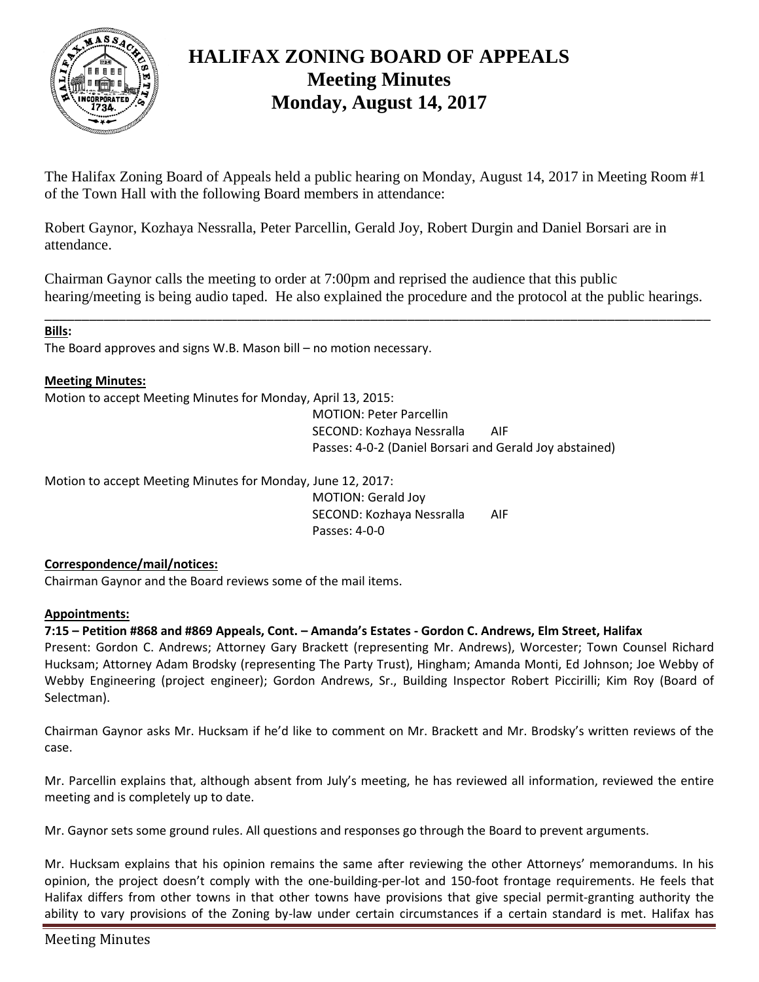

# **HALIFAX ZONING BOARD OF APPEALS Meeting Minutes Monday, August 14, 2017**

The Halifax Zoning Board of Appeals held a public hearing on Monday, August 14, 2017 in Meeting Room #1 of the Town Hall with the following Board members in attendance:

Robert Gaynor, Kozhaya Nessralla, Peter Parcellin, Gerald Joy, Robert Durgin and Daniel Borsari are in attendance.

Chairman Gaynor calls the meeting to order at 7:00pm and reprised the audience that this public hearing/meeting is being audio taped. He also explained the procedure and the protocol at the public hearings.

\_\_\_\_\_\_\_\_\_\_\_\_\_\_\_\_\_\_\_\_\_\_\_\_\_\_\_\_\_\_\_\_\_\_\_\_\_\_\_\_\_\_\_\_\_\_\_\_\_\_\_\_\_\_\_\_\_\_\_\_\_\_\_\_\_\_\_\_\_\_\_\_\_\_\_\_\_\_\_\_\_\_\_\_\_\_\_\_\_\_

## **Bills:**

The Board approves and signs W.B. Mason bill – no motion necessary.

## **Meeting Minutes:**

Motion to accept Meeting Minutes for Monday, April 13, 2015:

MOTION: Peter Parcellin SECOND: Kozhaya Nessralla AIF Passes: 4-0-2 (Daniel Borsari and Gerald Joy abstained)

Motion to accept Meeting Minutes for Monday, June 12, 2017:

MOTION: Gerald Joy SECOND: Kozhaya Nessralla AIF Passes: 4-0-0

## **Correspondence/mail/notices:**

Chairman Gaynor and the Board reviews some of the mail items.

## **Appointments:**

**7:15 – Petition #868 and #869 Appeals, Cont. – Amanda's Estates - Gordon C. Andrews, Elm Street, Halifax**

Present: Gordon C. Andrews; Attorney Gary Brackett (representing Mr. Andrews), Worcester; Town Counsel Richard Hucksam; Attorney Adam Brodsky (representing The Party Trust), Hingham; Amanda Monti, Ed Johnson; Joe Webby of Webby Engineering (project engineer); Gordon Andrews, Sr., Building Inspector Robert Piccirilli; Kim Roy (Board of Selectman).

Chairman Gaynor asks Mr. Hucksam if he'd like to comment on Mr. Brackett and Mr. Brodsky's written reviews of the case.

Mr. Parcellin explains that, although absent from July's meeting, he has reviewed all information, reviewed the entire meeting and is completely up to date.

Mr. Gaynor sets some ground rules. All questions and responses go through the Board to prevent arguments.

Mr. Hucksam explains that his opinion remains the same after reviewing the other Attorneys' memorandums. In his opinion, the project doesn't comply with the one-building-per-lot and 150-foot frontage requirements. He feels that Halifax differs from other towns in that other towns have provisions that give special permit-granting authority the ability to vary provisions of the Zoning by-law under certain circumstances if a certain standard is met. Halifax has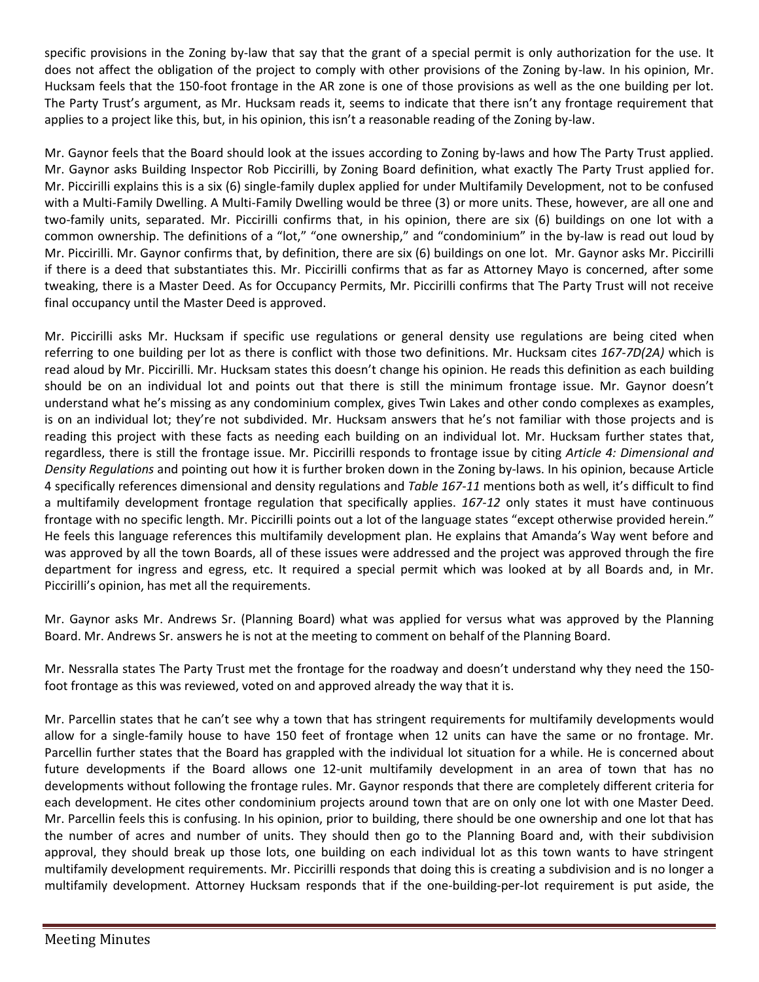specific provisions in the Zoning by-law that say that the grant of a special permit is only authorization for the use. It does not affect the obligation of the project to comply with other provisions of the Zoning by-law. In his opinion, Mr. Hucksam feels that the 150-foot frontage in the AR zone is one of those provisions as well as the one building per lot. The Party Trust's argument, as Mr. Hucksam reads it, seems to indicate that there isn't any frontage requirement that applies to a project like this, but, in his opinion, this isn't a reasonable reading of the Zoning by-law.

Mr. Gaynor feels that the Board should look at the issues according to Zoning by-laws and how The Party Trust applied. Mr. Gaynor asks Building Inspector Rob Piccirilli, by Zoning Board definition, what exactly The Party Trust applied for. Mr. Piccirilli explains this is a six (6) single-family duplex applied for under Multifamily Development, not to be confused with a Multi-Family Dwelling. A Multi-Family Dwelling would be three (3) or more units. These, however, are all one and two-family units, separated. Mr. Piccirilli confirms that, in his opinion, there are six (6) buildings on one lot with a common ownership. The definitions of a "lot," "one ownership," and "condominium" in the by-law is read out loud by Mr. Piccirilli. Mr. Gaynor confirms that, by definition, there are six (6) buildings on one lot. Mr. Gaynor asks Mr. Piccirilli if there is a deed that substantiates this. Mr. Piccirilli confirms that as far as Attorney Mayo is concerned, after some tweaking, there is a Master Deed. As for Occupancy Permits, Mr. Piccirilli confirms that The Party Trust will not receive final occupancy until the Master Deed is approved.

Mr. Piccirilli asks Mr. Hucksam if specific use regulations or general density use regulations are being cited when referring to one building per lot as there is conflict with those two definitions. Mr. Hucksam cites *167-7D(2A)* which is read aloud by Mr. Piccirilli. Mr. Hucksam states this doesn't change his opinion. He reads this definition as each building should be on an individual lot and points out that there is still the minimum frontage issue. Mr. Gaynor doesn't understand what he's missing as any condominium complex, gives Twin Lakes and other condo complexes as examples, is on an individual lot; they're not subdivided. Mr. Hucksam answers that he's not familiar with those projects and is reading this project with these facts as needing each building on an individual lot. Mr. Hucksam further states that, regardless, there is still the frontage issue. Mr. Piccirilli responds to frontage issue by citing *Article 4: Dimensional and Density Regulations* and pointing out how it is further broken down in the Zoning by-laws. In his opinion, because Article 4 specifically references dimensional and density regulations and *Table 167-11* mentions both as well, it's difficult to find a multifamily development frontage regulation that specifically applies. *167-12* only states it must have continuous frontage with no specific length. Mr. Piccirilli points out a lot of the language states "except otherwise provided herein." He feels this language references this multifamily development plan. He explains that Amanda's Way went before and was approved by all the town Boards, all of these issues were addressed and the project was approved through the fire department for ingress and egress, etc. It required a special permit which was looked at by all Boards and, in Mr. Piccirilli's opinion, has met all the requirements.

Mr. Gaynor asks Mr. Andrews Sr. (Planning Board) what was applied for versus what was approved by the Planning Board. Mr. Andrews Sr. answers he is not at the meeting to comment on behalf of the Planning Board.

Mr. Nessralla states The Party Trust met the frontage for the roadway and doesn't understand why they need the 150 foot frontage as this was reviewed, voted on and approved already the way that it is.

Mr. Parcellin states that he can't see why a town that has stringent requirements for multifamily developments would allow for a single-family house to have 150 feet of frontage when 12 units can have the same or no frontage. Mr. Parcellin further states that the Board has grappled with the individual lot situation for a while. He is concerned about future developments if the Board allows one 12-unit multifamily development in an area of town that has no developments without following the frontage rules. Mr. Gaynor responds that there are completely different criteria for each development. He cites other condominium projects around town that are on only one lot with one Master Deed. Mr. Parcellin feels this is confusing. In his opinion, prior to building, there should be one ownership and one lot that has the number of acres and number of units. They should then go to the Planning Board and, with their subdivision approval, they should break up those lots, one building on each individual lot as this town wants to have stringent multifamily development requirements. Mr. Piccirilli responds that doing this is creating a subdivision and is no longer a multifamily development. Attorney Hucksam responds that if the one-building-per-lot requirement is put aside, the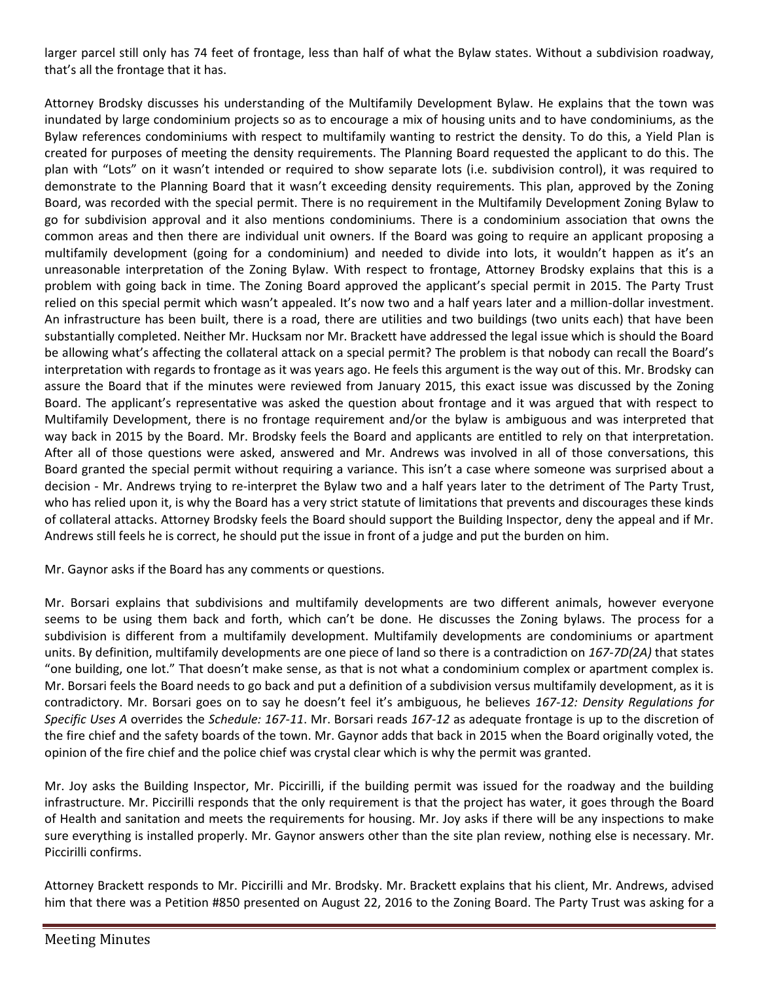larger parcel still only has 74 feet of frontage, less than half of what the Bylaw states. Without a subdivision roadway, that's all the frontage that it has.

Attorney Brodsky discusses his understanding of the Multifamily Development Bylaw. He explains that the town was inundated by large condominium projects so as to encourage a mix of housing units and to have condominiums, as the Bylaw references condominiums with respect to multifamily wanting to restrict the density. To do this, a Yield Plan is created for purposes of meeting the density requirements. The Planning Board requested the applicant to do this. The plan with "Lots" on it wasn't intended or required to show separate lots (i.e. subdivision control), it was required to demonstrate to the Planning Board that it wasn't exceeding density requirements. This plan, approved by the Zoning Board, was recorded with the special permit. There is no requirement in the Multifamily Development Zoning Bylaw to go for subdivision approval and it also mentions condominiums. There is a condominium association that owns the common areas and then there are individual unit owners. If the Board was going to require an applicant proposing a multifamily development (going for a condominium) and needed to divide into lots, it wouldn't happen as it's an unreasonable interpretation of the Zoning Bylaw. With respect to frontage, Attorney Brodsky explains that this is a problem with going back in time. The Zoning Board approved the applicant's special permit in 2015. The Party Trust relied on this special permit which wasn't appealed. It's now two and a half years later and a million-dollar investment. An infrastructure has been built, there is a road, there are utilities and two buildings (two units each) that have been substantially completed. Neither Mr. Hucksam nor Mr. Brackett have addressed the legal issue which is should the Board be allowing what's affecting the collateral attack on a special permit? The problem is that nobody can recall the Board's interpretation with regards to frontage as it was years ago. He feels this argument is the way out of this. Mr. Brodsky can assure the Board that if the minutes were reviewed from January 2015, this exact issue was discussed by the Zoning Board. The applicant's representative was asked the question about frontage and it was argued that with respect to Multifamily Development, there is no frontage requirement and/or the bylaw is ambiguous and was interpreted that way back in 2015 by the Board. Mr. Brodsky feels the Board and applicants are entitled to rely on that interpretation. After all of those questions were asked, answered and Mr. Andrews was involved in all of those conversations, this Board granted the special permit without requiring a variance. This isn't a case where someone was surprised about a decision - Mr. Andrews trying to re-interpret the Bylaw two and a half years later to the detriment of The Party Trust, who has relied upon it, is why the Board has a very strict statute of limitations that prevents and discourages these kinds of collateral attacks. Attorney Brodsky feels the Board should support the Building Inspector, deny the appeal and if Mr. Andrews still feels he is correct, he should put the issue in front of a judge and put the burden on him.

Mr. Gaynor asks if the Board has any comments or questions.

Mr. Borsari explains that subdivisions and multifamily developments are two different animals, however everyone seems to be using them back and forth, which can't be done. He discusses the Zoning bylaws. The process for a subdivision is different from a multifamily development. Multifamily developments are condominiums or apartment units. By definition, multifamily developments are one piece of land so there is a contradiction on *167-7D(2A)* that states "one building, one lot." That doesn't make sense, as that is not what a condominium complex or apartment complex is. Mr. Borsari feels the Board needs to go back and put a definition of a subdivision versus multifamily development, as it is contradictory. Mr. Borsari goes on to say he doesn't feel it's ambiguous, he believes *167-12: Density Regulations for Specific Uses A* overrides the *Schedule: 167-11*. Mr. Borsari reads *167-12* as adequate frontage is up to the discretion of the fire chief and the safety boards of the town. Mr. Gaynor adds that back in 2015 when the Board originally voted, the opinion of the fire chief and the police chief was crystal clear which is why the permit was granted.

Mr. Joy asks the Building Inspector, Mr. Piccirilli, if the building permit was issued for the roadway and the building infrastructure. Mr. Piccirilli responds that the only requirement is that the project has water, it goes through the Board of Health and sanitation and meets the requirements for housing. Mr. Joy asks if there will be any inspections to make sure everything is installed properly. Mr. Gaynor answers other than the site plan review, nothing else is necessary. Mr. Piccirilli confirms.

Attorney Brackett responds to Mr. Piccirilli and Mr. Brodsky. Mr. Brackett explains that his client, Mr. Andrews, advised him that there was a Petition #850 presented on August 22, 2016 to the Zoning Board. The Party Trust was asking for a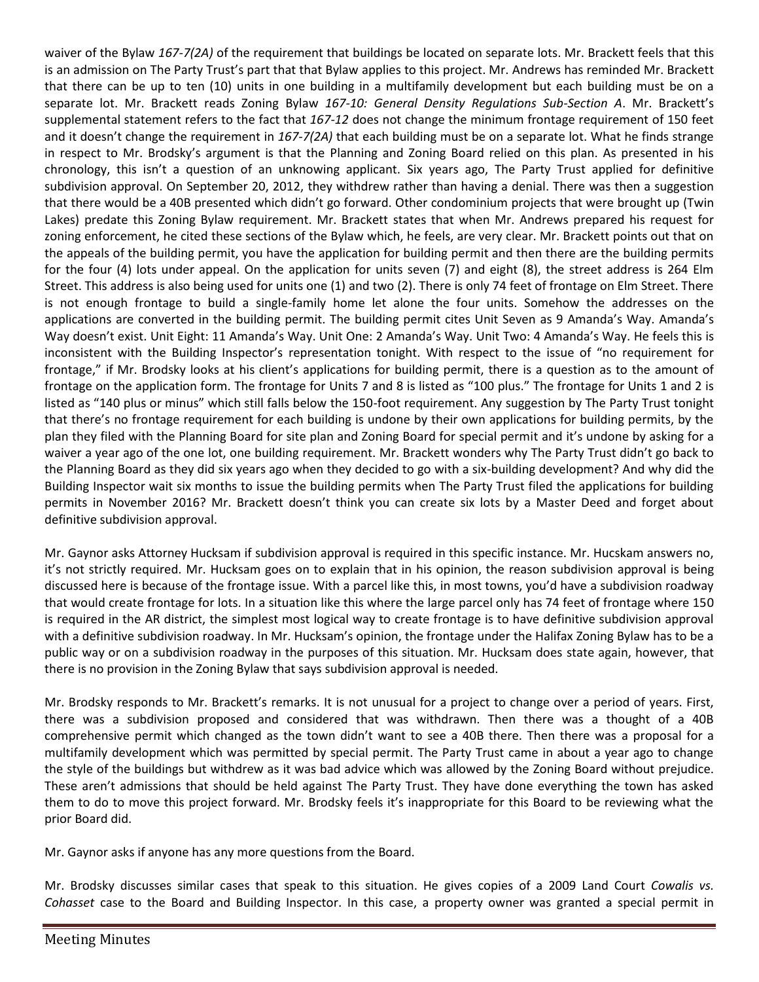waiver of the Bylaw *167-7(2A)* of the requirement that buildings be located on separate lots. Mr. Brackett feels that this is an admission on The Party Trust's part that that Bylaw applies to this project. Mr. Andrews has reminded Mr. Brackett that there can be up to ten (10) units in one building in a multifamily development but each building must be on a separate lot. Mr. Brackett reads Zoning Bylaw *167-10: General Density Regulations Sub-Section A*. Mr. Brackett's supplemental statement refers to the fact that *167-12* does not change the minimum frontage requirement of 150 feet and it doesn't change the requirement in *167-7(2A)* that each building must be on a separate lot. What he finds strange in respect to Mr. Brodsky's argument is that the Planning and Zoning Board relied on this plan. As presented in his chronology, this isn't a question of an unknowing applicant. Six years ago, The Party Trust applied for definitive subdivision approval. On September 20, 2012, they withdrew rather than having a denial. There was then a suggestion that there would be a 40B presented which didn't go forward. Other condominium projects that were brought up (Twin Lakes) predate this Zoning Bylaw requirement. Mr. Brackett states that when Mr. Andrews prepared his request for zoning enforcement, he cited these sections of the Bylaw which, he feels, are very clear. Mr. Brackett points out that on the appeals of the building permit, you have the application for building permit and then there are the building permits for the four (4) lots under appeal. On the application for units seven (7) and eight (8), the street address is 264 Elm Street. This address is also being used for units one (1) and two (2). There is only 74 feet of frontage on Elm Street. There is not enough frontage to build a single-family home let alone the four units. Somehow the addresses on the applications are converted in the building permit. The building permit cites Unit Seven as 9 Amanda's Way. Amanda's Way doesn't exist. Unit Eight: 11 Amanda's Way. Unit One: 2 Amanda's Way. Unit Two: 4 Amanda's Way. He feels this is inconsistent with the Building Inspector's representation tonight. With respect to the issue of "no requirement for frontage," if Mr. Brodsky looks at his client's applications for building permit, there is a question as to the amount of frontage on the application form. The frontage for Units 7 and 8 is listed as "100 plus." The frontage for Units 1 and 2 is listed as "140 plus or minus" which still falls below the 150-foot requirement. Any suggestion by The Party Trust tonight that there's no frontage requirement for each building is undone by their own applications for building permits, by the plan they filed with the Planning Board for site plan and Zoning Board for special permit and it's undone by asking for a waiver a year ago of the one lot, one building requirement. Mr. Brackett wonders why The Party Trust didn't go back to the Planning Board as they did six years ago when they decided to go with a six-building development? And why did the Building Inspector wait six months to issue the building permits when The Party Trust filed the applications for building permits in November 2016? Mr. Brackett doesn't think you can create six lots by a Master Deed and forget about definitive subdivision approval.

Mr. Gaynor asks Attorney Hucksam if subdivision approval is required in this specific instance. Mr. Hucskam answers no, it's not strictly required. Mr. Hucksam goes on to explain that in his opinion, the reason subdivision approval is being discussed here is because of the frontage issue. With a parcel like this, in most towns, you'd have a subdivision roadway that would create frontage for lots. In a situation like this where the large parcel only has 74 feet of frontage where 150 is required in the AR district, the simplest most logical way to create frontage is to have definitive subdivision approval with a definitive subdivision roadway. In Mr. Hucksam's opinion, the frontage under the Halifax Zoning Bylaw has to be a public way or on a subdivision roadway in the purposes of this situation. Mr. Hucksam does state again, however, that there is no provision in the Zoning Bylaw that says subdivision approval is needed.

Mr. Brodsky responds to Mr. Brackett's remarks. It is not unusual for a project to change over a period of years. First, there was a subdivision proposed and considered that was withdrawn. Then there was a thought of a 40B comprehensive permit which changed as the town didn't want to see a 40B there. Then there was a proposal for a multifamily development which was permitted by special permit. The Party Trust came in about a year ago to change the style of the buildings but withdrew as it was bad advice which was allowed by the Zoning Board without prejudice. These aren't admissions that should be held against The Party Trust. They have done everything the town has asked them to do to move this project forward. Mr. Brodsky feels it's inappropriate for this Board to be reviewing what the prior Board did.

Mr. Gaynor asks if anyone has any more questions from the Board.

Mr. Brodsky discusses similar cases that speak to this situation. He gives copies of a 2009 Land Court *Cowalis vs. Cohasset* case to the Board and Building Inspector. In this case, a property owner was granted a special permit in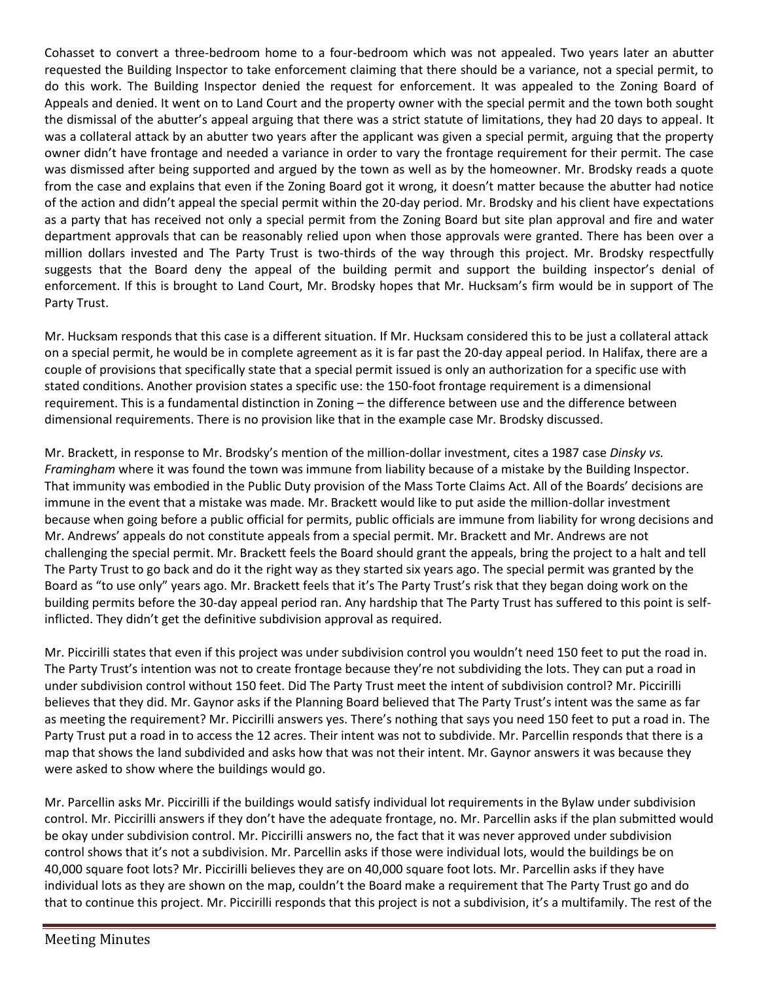Cohasset to convert a three-bedroom home to a four-bedroom which was not appealed. Two years later an abutter requested the Building Inspector to take enforcement claiming that there should be a variance, not a special permit, to do this work. The Building Inspector denied the request for enforcement. It was appealed to the Zoning Board of Appeals and denied. It went on to Land Court and the property owner with the special permit and the town both sought the dismissal of the abutter's appeal arguing that there was a strict statute of limitations, they had 20 days to appeal. It was a collateral attack by an abutter two years after the applicant was given a special permit, arguing that the property owner didn't have frontage and needed a variance in order to vary the frontage requirement for their permit. The case was dismissed after being supported and argued by the town as well as by the homeowner. Mr. Brodsky reads a quote from the case and explains that even if the Zoning Board got it wrong, it doesn't matter because the abutter had notice of the action and didn't appeal the special permit within the 20-day period. Mr. Brodsky and his client have expectations as a party that has received not only a special permit from the Zoning Board but site plan approval and fire and water department approvals that can be reasonably relied upon when those approvals were granted. There has been over a million dollars invested and The Party Trust is two-thirds of the way through this project. Mr. Brodsky respectfully suggests that the Board deny the appeal of the building permit and support the building inspector's denial of enforcement. If this is brought to Land Court, Mr. Brodsky hopes that Mr. Hucksam's firm would be in support of The Party Trust.

Mr. Hucksam responds that this case is a different situation. If Mr. Hucksam considered this to be just a collateral attack on a special permit, he would be in complete agreement as it is far past the 20-day appeal period. In Halifax, there are a couple of provisions that specifically state that a special permit issued is only an authorization for a specific use with stated conditions. Another provision states a specific use: the 150-foot frontage requirement is a dimensional requirement. This is a fundamental distinction in Zoning – the difference between use and the difference between dimensional requirements. There is no provision like that in the example case Mr. Brodsky discussed.

Mr. Brackett, in response to Mr. Brodsky's mention of the million-dollar investment, cites a 1987 case *Dinsky vs. Framingham* where it was found the town was immune from liability because of a mistake by the Building Inspector. That immunity was embodied in the Public Duty provision of the Mass Torte Claims Act. All of the Boards' decisions are immune in the event that a mistake was made. Mr. Brackett would like to put aside the million-dollar investment because when going before a public official for permits, public officials are immune from liability for wrong decisions and Mr. Andrews' appeals do not constitute appeals from a special permit. Mr. Brackett and Mr. Andrews are not challenging the special permit. Mr. Brackett feels the Board should grant the appeals, bring the project to a halt and tell The Party Trust to go back and do it the right way as they started six years ago. The special permit was granted by the Board as "to use only" years ago. Mr. Brackett feels that it's The Party Trust's risk that they began doing work on the building permits before the 30-day appeal period ran. Any hardship that The Party Trust has suffered to this point is selfinflicted. They didn't get the definitive subdivision approval as required.

Mr. Piccirilli states that even if this project was under subdivision control you wouldn't need 150 feet to put the road in. The Party Trust's intention was not to create frontage because they're not subdividing the lots. They can put a road in under subdivision control without 150 feet. Did The Party Trust meet the intent of subdivision control? Mr. Piccirilli believes that they did. Mr. Gaynor asks if the Planning Board believed that The Party Trust's intent was the same as far as meeting the requirement? Mr. Piccirilli answers yes. There's nothing that says you need 150 feet to put a road in. The Party Trust put a road in to access the 12 acres. Their intent was not to subdivide. Mr. Parcellin responds that there is a map that shows the land subdivided and asks how that was not their intent. Mr. Gaynor answers it was because they were asked to show where the buildings would go.

Mr. Parcellin asks Mr. Piccirilli if the buildings would satisfy individual lot requirements in the Bylaw under subdivision control. Mr. Piccirilli answers if they don't have the adequate frontage, no. Mr. Parcellin asks if the plan submitted would be okay under subdivision control. Mr. Piccirilli answers no, the fact that it was never approved under subdivision control shows that it's not a subdivision. Mr. Parcellin asks if those were individual lots, would the buildings be on 40,000 square foot lots? Mr. Piccirilli believes they are on 40,000 square foot lots. Mr. Parcellin asks if they have individual lots as they are shown on the map, couldn't the Board make a requirement that The Party Trust go and do that to continue this project. Mr. Piccirilli responds that this project is not a subdivision, it's a multifamily. The rest of the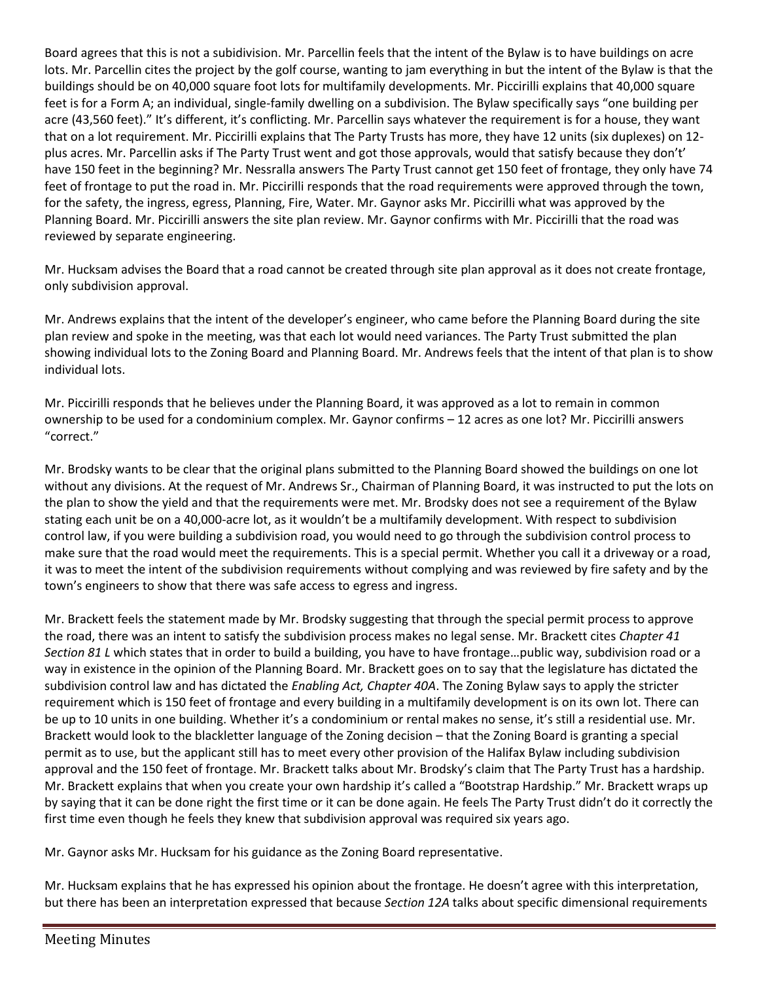Board agrees that this is not a subidivision. Mr. Parcellin feels that the intent of the Bylaw is to have buildings on acre lots. Mr. Parcellin cites the project by the golf course, wanting to jam everything in but the intent of the Bylaw is that the buildings should be on 40,000 square foot lots for multifamily developments. Mr. Piccirilli explains that 40,000 square feet is for a Form A; an individual, single-family dwelling on a subdivision. The Bylaw specifically says "one building per acre (43,560 feet)." It's different, it's conflicting. Mr. Parcellin says whatever the requirement is for a house, they want that on a lot requirement. Mr. Piccirilli explains that The Party Trusts has more, they have 12 units (six duplexes) on 12 plus acres. Mr. Parcellin asks if The Party Trust went and got those approvals, would that satisfy because they don't' have 150 feet in the beginning? Mr. Nessralla answers The Party Trust cannot get 150 feet of frontage, they only have 74 feet of frontage to put the road in. Mr. Piccirilli responds that the road requirements were approved through the town, for the safety, the ingress, egress, Planning, Fire, Water. Mr. Gaynor asks Mr. Piccirilli what was approved by the Planning Board. Mr. Piccirilli answers the site plan review. Mr. Gaynor confirms with Mr. Piccirilli that the road was reviewed by separate engineering.

Mr. Hucksam advises the Board that a road cannot be created through site plan approval as it does not create frontage, only subdivision approval.

Mr. Andrews explains that the intent of the developer's engineer, who came before the Planning Board during the site plan review and spoke in the meeting, was that each lot would need variances. The Party Trust submitted the plan showing individual lots to the Zoning Board and Planning Board. Mr. Andrews feels that the intent of that plan is to show individual lots.

Mr. Piccirilli responds that he believes under the Planning Board, it was approved as a lot to remain in common ownership to be used for a condominium complex. Mr. Gaynor confirms – 12 acres as one lot? Mr. Piccirilli answers "correct."

Mr. Brodsky wants to be clear that the original plans submitted to the Planning Board showed the buildings on one lot without any divisions. At the request of Mr. Andrews Sr., Chairman of Planning Board, it was instructed to put the lots on the plan to show the yield and that the requirements were met. Mr. Brodsky does not see a requirement of the Bylaw stating each unit be on a 40,000-acre lot, as it wouldn't be a multifamily development. With respect to subdivision control law, if you were building a subdivision road, you would need to go through the subdivision control process to make sure that the road would meet the requirements. This is a special permit. Whether you call it a driveway or a road, it was to meet the intent of the subdivision requirements without complying and was reviewed by fire safety and by the town's engineers to show that there was safe access to egress and ingress.

Mr. Brackett feels the statement made by Mr. Brodsky suggesting that through the special permit process to approve the road, there was an intent to satisfy the subdivision process makes no legal sense. Mr. Brackett cites *Chapter 41 Section 81 L* which states that in order to build a building, you have to have frontage…public way, subdivision road or a way in existence in the opinion of the Planning Board. Mr. Brackett goes on to say that the legislature has dictated the subdivision control law and has dictated the *Enabling Act, Chapter 40A*. The Zoning Bylaw says to apply the stricter requirement which is 150 feet of frontage and every building in a multifamily development is on its own lot. There can be up to 10 units in one building. Whether it's a condominium or rental makes no sense, it's still a residential use. Mr. Brackett would look to the blackletter language of the Zoning decision – that the Zoning Board is granting a special permit as to use, but the applicant still has to meet every other provision of the Halifax Bylaw including subdivision approval and the 150 feet of frontage. Mr. Brackett talks about Mr. Brodsky's claim that The Party Trust has a hardship. Mr. Brackett explains that when you create your own hardship it's called a "Bootstrap Hardship." Mr. Brackett wraps up by saying that it can be done right the first time or it can be done again. He feels The Party Trust didn't do it correctly the first time even though he feels they knew that subdivision approval was required six years ago.

Mr. Gaynor asks Mr. Hucksam for his guidance as the Zoning Board representative.

Mr. Hucksam explains that he has expressed his opinion about the frontage. He doesn't agree with this interpretation, but there has been an interpretation expressed that because *Section 12A* talks about specific dimensional requirements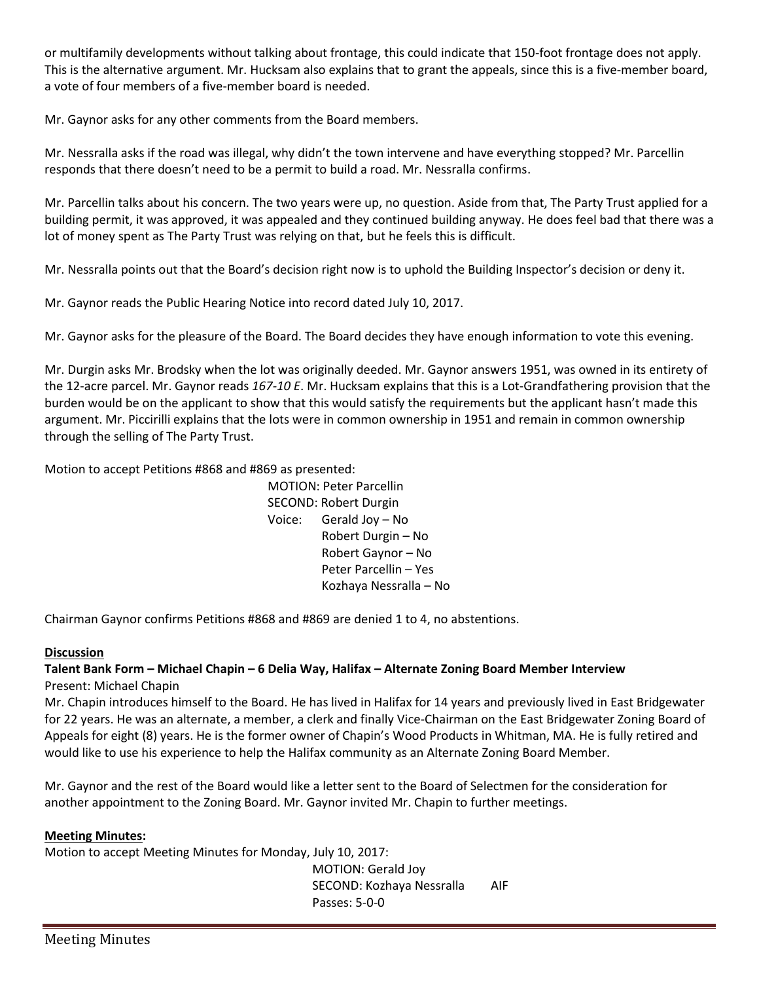or multifamily developments without talking about frontage, this could indicate that 150-foot frontage does not apply. This is the alternative argument. Mr. Hucksam also explains that to grant the appeals, since this is a five-member board, a vote of four members of a five-member board is needed.

Mr. Gaynor asks for any other comments from the Board members.

Mr. Nessralla asks if the road was illegal, why didn't the town intervene and have everything stopped? Mr. Parcellin responds that there doesn't need to be a permit to build a road. Mr. Nessralla confirms.

Mr. Parcellin talks about his concern. The two years were up, no question. Aside from that, The Party Trust applied for a building permit, it was approved, it was appealed and they continued building anyway. He does feel bad that there was a lot of money spent as The Party Trust was relying on that, but he feels this is difficult.

Mr. Nessralla points out that the Board's decision right now is to uphold the Building Inspector's decision or deny it.

Mr. Gaynor reads the Public Hearing Notice into record dated July 10, 2017.

Mr. Gaynor asks for the pleasure of the Board. The Board decides they have enough information to vote this evening.

Mr. Durgin asks Mr. Brodsky when the lot was originally deeded. Mr. Gaynor answers 1951, was owned in its entirety of the 12-acre parcel. Mr. Gaynor reads *167-10 E*. Mr. Hucksam explains that this is a Lot-Grandfathering provision that the burden would be on the applicant to show that this would satisfy the requirements but the applicant hasn't made this argument. Mr. Piccirilli explains that the lots were in common ownership in 1951 and remain in common ownership through the selling of The Party Trust.

Motion to accept Petitions #868 and #869 as presented:

MOTION: Peter Parcellin SECOND: Robert Durgin Voice: Gerald Joy – No Robert Durgin – No Robert Gaynor – No Peter Parcellin – Yes Kozhaya Nessralla – No

Chairman Gaynor confirms Petitions #868 and #869 are denied 1 to 4, no abstentions.

## **Discussion**

#### **Talent Bank Form – Michael Chapin – 6 Delia Way, Halifax – Alternate Zoning Board Member Interview** Present: Michael Chapin

Mr. Chapin introduces himself to the Board. He has lived in Halifax for 14 years and previously lived in East Bridgewater for 22 years. He was an alternate, a member, a clerk and finally Vice-Chairman on the East Bridgewater Zoning Board of Appeals for eight (8) years. He is the former owner of Chapin's Wood Products in Whitman, MA. He is fully retired and would like to use his experience to help the Halifax community as an Alternate Zoning Board Member.

Mr. Gaynor and the rest of the Board would like a letter sent to the Board of Selectmen for the consideration for another appointment to the Zoning Board. Mr. Gaynor invited Mr. Chapin to further meetings.

## **Meeting Minutes:**

Motion to accept Meeting Minutes for Monday, July 10, 2017:

MOTION: Gerald Joy SECOND: Kozhaya Nessralla AIF Passes: 5-0-0